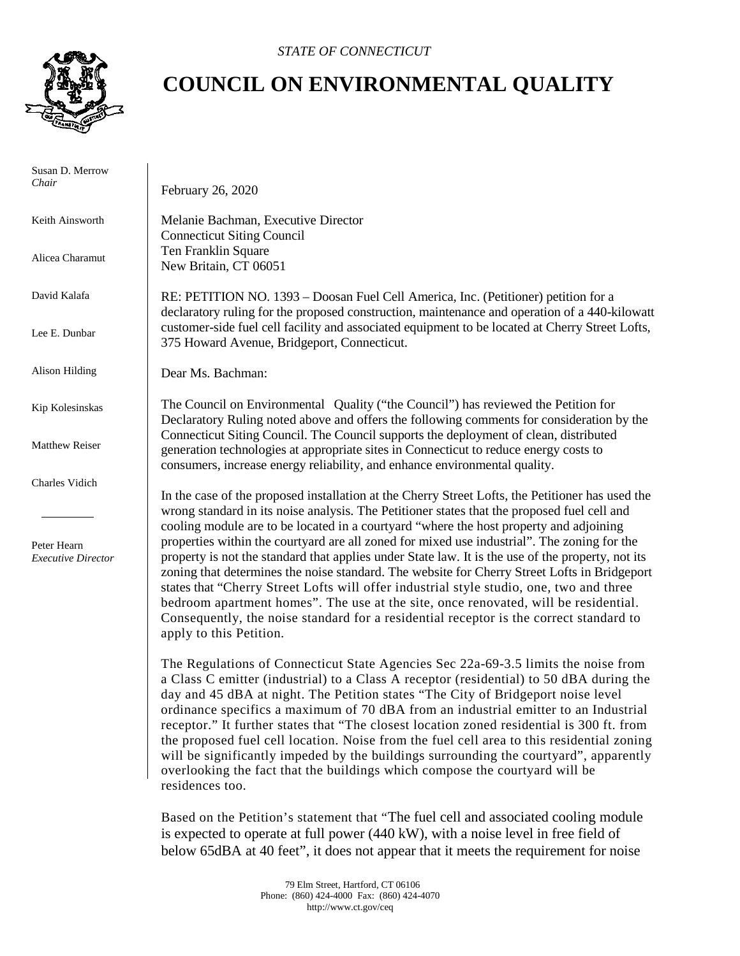

 Susan D. Merrow *Chair*

Keith Ainsworth

Alicea Charamut

David Kalafa

Lee E. Dunbar

Alison Hilding

Kip Kolesinskas

Matthew Reiser

Charles Vidich

 Peter Hearn *Executive Director*

## **COUNCIL ON ENVIRONMENTAL QUALITY**

February 26, 2020

Melanie Bachman, Executive Director Connecticut Siting Council Ten Franklin Square New Britain, CT 06051

RE: PETITION NO. 1393 – Doosan Fuel Cell America, Inc. (Petitioner) petition for a declaratory ruling for the proposed construction, maintenance and operation of a 440-kilowatt customer-side fuel cell facility and associated equipment to be located at Cherry Street Lofts, 375 Howard Avenue, Bridgeport, Connecticut.

Dear Ms. Bachman:

The Council on Environmental Quality ("the Council") has reviewed the Petition for Declaratory Ruling noted above and offers the following comments for consideration by the Connecticut Siting Council. The Council supports the deployment of clean, distributed generation technologies at appropriate sites in Connecticut to reduce energy costs to consumers, increase energy reliability, and enhance environmental quality.

In the case of the proposed installation at the Cherry Street Lofts, the Petitioner has used the wrong standard in its noise analysis. The Petitioner states that the proposed fuel cell and cooling module are to be located in a courtyard "where the host property and adjoining properties within the courtyard are all zoned for mixed use industrial". The zoning for the property is not the standard that applies under State law. It is the use of the property, not its zoning that determines the noise standard. The website for Cherry Street Lofts in Bridgeport states that "Cherry Street Lofts will offer industrial style studio, one, two and three bedroom apartment homes". The use at the site, once renovated, will be residential. Consequently, the noise standard for a residential receptor is the correct standard to apply to this Petition.

The Regulations of Connecticut State Agencies Sec 22a-69-3.5 limits the noise from a Class C emitter (industrial) to a Class A receptor (residential) to 50 dBA during the day and 45 dBA at night. The Petition states "The City of Bridgeport noise level ordinance specifics a maximum of 70 dBA from an industrial emitter to an Industrial receptor." It further states that "The closest location zoned residential is 300 ft. from the proposed fuel cell location. Noise from the fuel cell area to this residential zoning will be significantly impeded by the buildings surrounding the courtyard", apparently overlooking the fact that the buildings which compose the courtyard will be residences too.

Based on the Petition's statement that "The fuel cell and associated cooling module is expected to operate at full power (440 kW), with a noise level in free field of below 65dBA at 40 feet", it does not appear that it meets the requirement for noise